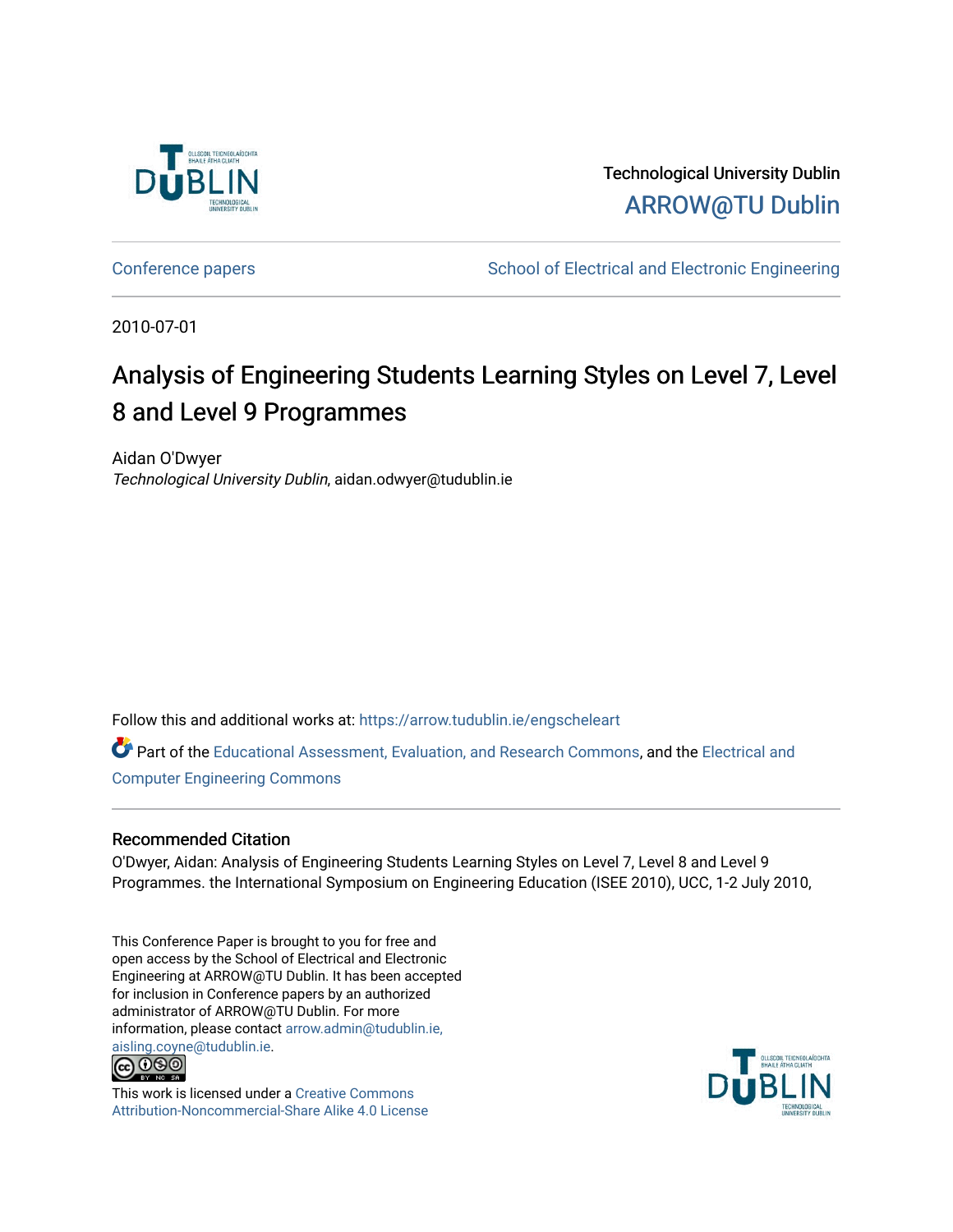

Technological University Dublin [ARROW@TU Dublin](https://arrow.tudublin.ie/) 

[Conference papers](https://arrow.tudublin.ie/engscheleart) [School of Electrical and Electronic Engineering](https://arrow.tudublin.ie/engschele) 

2010-07-01

# Analysis of Engineering Students Learning Styles on Level 7, Level 8 and Level 9 Programmes

Aidan O'Dwyer Technological University Dublin, aidan.odwyer@tudublin.ie

Follow this and additional works at: [https://arrow.tudublin.ie/engscheleart](https://arrow.tudublin.ie/engscheleart?utm_source=arrow.tudublin.ie%2Fengscheleart%2F127&utm_medium=PDF&utm_campaign=PDFCoverPages) 

Part of the [Educational Assessment, Evaluation, and Research Commons](http://network.bepress.com/hgg/discipline/796?utm_source=arrow.tudublin.ie%2Fengscheleart%2F127&utm_medium=PDF&utm_campaign=PDFCoverPages), and the [Electrical and](http://network.bepress.com/hgg/discipline/266?utm_source=arrow.tudublin.ie%2Fengscheleart%2F127&utm_medium=PDF&utm_campaign=PDFCoverPages) [Computer Engineering Commons](http://network.bepress.com/hgg/discipline/266?utm_source=arrow.tudublin.ie%2Fengscheleart%2F127&utm_medium=PDF&utm_campaign=PDFCoverPages)

#### Recommended Citation

O'Dwyer, Aidan: Analysis of Engineering Students Learning Styles on Level 7, Level 8 and Level 9 Programmes. the International Symposium on Engineering Education (ISEE 2010), UCC, 1-2 July 2010,

This Conference Paper is brought to you for free and open access by the School of Electrical and Electronic Engineering at ARROW@TU Dublin. It has been accepted for inclusion in Conference papers by an authorized administrator of ARROW@TU Dublin. For more information, please contact [arrow.admin@tudublin.ie,](mailto:arrow.admin@tudublin.ie,%20aisling.coyne@tudublin.ie)  [aisling.coyne@tudublin.ie.](mailto:arrow.admin@tudublin.ie,%20aisling.coyne@tudublin.ie)<br>© 090



This work is licensed under a [Creative Commons](http://creativecommons.org/licenses/by-nc-sa/4.0/) [Attribution-Noncommercial-Share Alike 4.0 License](http://creativecommons.org/licenses/by-nc-sa/4.0/)

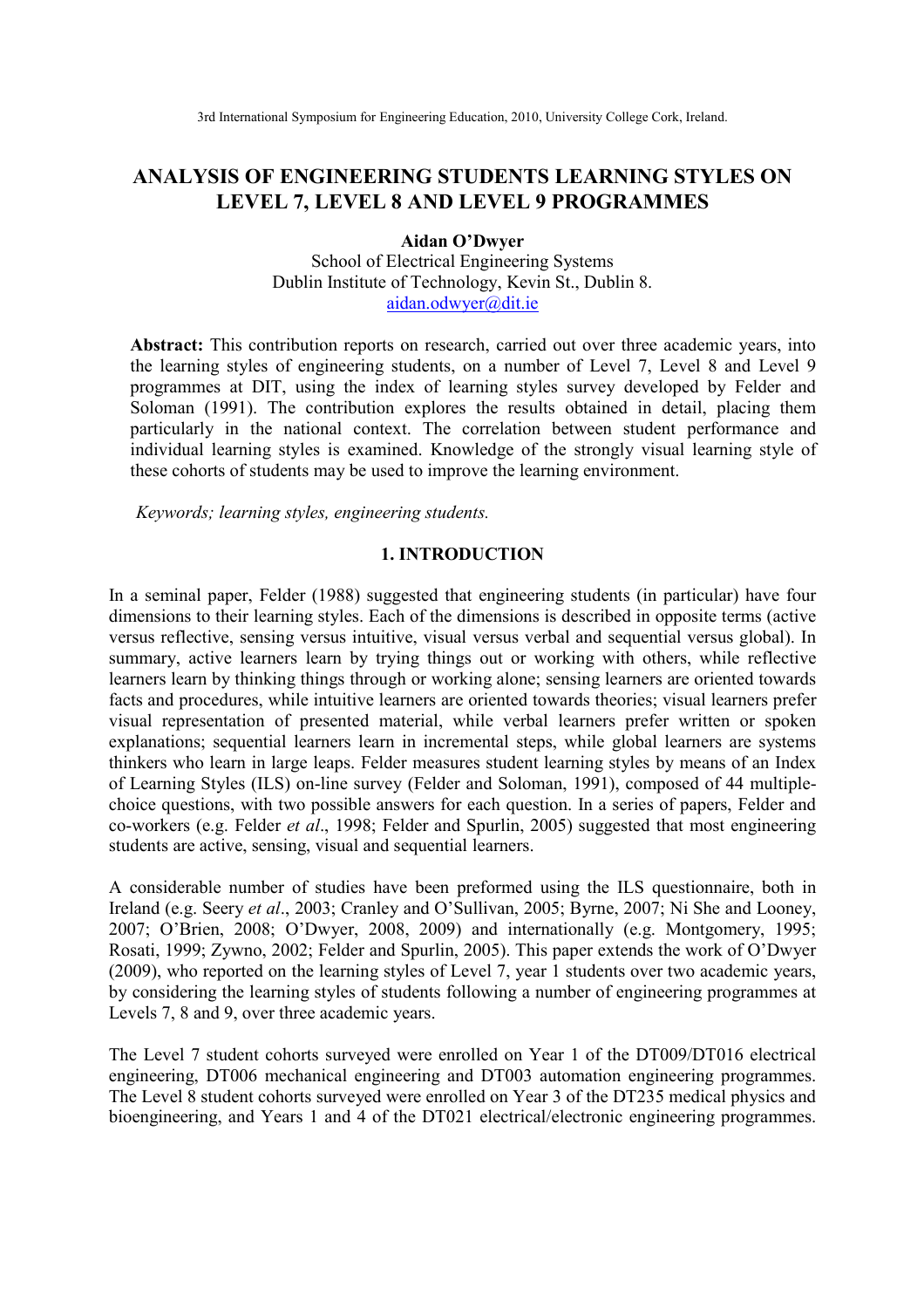## **ANALYSIS OF ENGINEERING STUDENTS LEARNING STYLES ON LEVEL 7, LEVEL 8 AND LEVEL 9 PROGRAMMES**

#### **Aidan O'Dwyer**

School of Electrical Engineering Systems Dublin Institute of Technology, Kevin St., Dublin 8. aidan.odwyer@dit.ie

Abstract: This contribution reports on research, carried out over three academic years, into the learning styles of engineering students, on a number of Level 7, Level 8 and Level 9 programmes at DIT, using the index of learning styles survey developed by Felder and Soloman (1991). The contribution explores the results obtained in detail, placing them particularly in the national context. The correlation between student performance and individual learning styles is examined. Knowledge of the strongly visual learning style of these cohorts of students may be used to improve the learning environment.

*Keywords; learning styles, engineering students.* 

#### **1. INTRODUCTION**

In a seminal paper, Felder (1988) suggested that engineering students (in particular) have four dimensions to their learning styles. Each of the dimensions is described in opposite terms (active versus reflective, sensing versus intuitive, visual versus verbal and sequential versus global). In summary, active learners learn by trying things out or working with others, while reflective learners learn by thinking things through or working alone; sensing learners are oriented towards facts and procedures, while intuitive learners are oriented towards theories; visual learners prefer visual representation of presented material, while verbal learners prefer written or spoken explanations; sequential learners learn in incremental steps, while global learners are systems thinkers who learn in large leaps. Felder measures student learning styles by means of an Index of Learning Styles (ILS) on-line survey (Felder and Soloman, 1991), composed of 44 multiplechoice questions, with two possible answers for each question. In a series of papers, Felder and co-workers (e.g. Felder *et al*., 1998; Felder and Spurlin, 2005) suggested that most engineering students are active, sensing, visual and sequential learners.

A considerable number of studies have been preformed using the ILS questionnaire, both in Ireland (e.g. Seery *et al*., 2003; Cranley and O'Sullivan, 2005; Byrne, 2007; Ni She and Looney, 2007; O'Brien, 2008; O'Dwyer, 2008, 2009) and internationally (e.g. Montgomery, 1995; Rosati, 1999; Zywno, 2002; Felder and Spurlin, 2005). This paper extends the work of O'Dwyer (2009), who reported on the learning styles of Level 7, year 1 students over two academic years, by considering the learning styles of students following a number of engineering programmes at Levels 7, 8 and 9, over three academic years.

The Level 7 student cohorts surveyed were enrolled on Year 1 of the DT009/DT016 electrical engineering, DT006 mechanical engineering and DT003 automation engineering programmes. The Level 8 student cohorts surveyed were enrolled on Year 3 of the DT235 medical physics and bioengineering, and Years 1 and 4 of the DT021 electrical/electronic engineering programmes.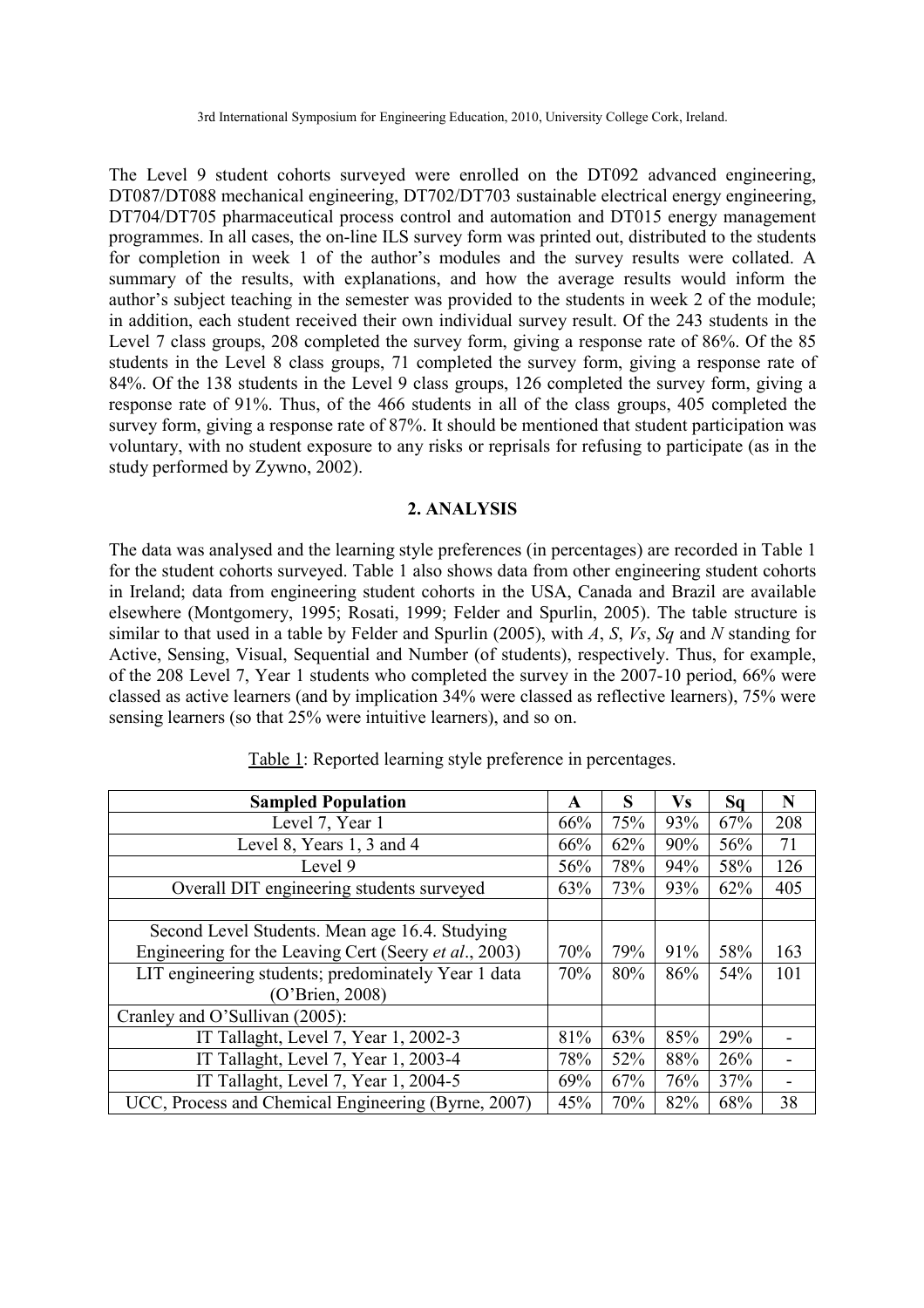The Level 9 student cohorts surveyed were enrolled on the DT092 advanced engineering, DT087/DT088 mechanical engineering, DT702/DT703 sustainable electrical energy engineering, DT704/DT705 pharmaceutical process control and automation and DT015 energy management programmes. In all cases, the on-line ILS survey form was printed out, distributed to the students for completion in week 1 of the author's modules and the survey results were collated. A summary of the results, with explanations, and how the average results would inform the author's subject teaching in the semester was provided to the students in week 2 of the module; in addition, each student received their own individual survey result. Of the 243 students in the Level 7 class groups, 208 completed the survey form, giving a response rate of 86%. Of the 85 students in the Level 8 class groups, 71 completed the survey form, giving a response rate of 84%. Of the 138 students in the Level 9 class groups, 126 completed the survey form, giving a response rate of 91%. Thus, of the 466 students in all of the class groups, 405 completed the survey form, giving a response rate of 87%. It should be mentioned that student participation was voluntary, with no student exposure to any risks or reprisals for refusing to participate (as in the study performed by Zywno, 2002).

### **2. ANALYSIS**

The data was analysed and the learning style preferences (in percentages) are recorded in Table 1 for the student cohorts surveyed. Table 1 also shows data from other engineering student cohorts in Ireland; data from engineering student cohorts in the USA, Canada and Brazil are available elsewhere (Montgomery, 1995; Rosati, 1999; Felder and Spurlin, 2005). The table structure is similar to that used in a table by Felder and Spurlin (2005), with *A*, *S*, *Vs*, *Sq* and *N* standing for Active, Sensing, Visual, Sequential and Number (of students), respectively. Thus, for example, of the 208 Level 7, Year 1 students who completed the survey in the 2007-10 period, 66% were classed as active learners (and by implication 34% were classed as reflective learners), 75% were sensing learners (so that 25% were intuitive learners), and so on.

| <b>Sampled Population</b>                             | A   | S   | Vs  | Sq  | N   |
|-------------------------------------------------------|-----|-----|-----|-----|-----|
| Level 7, Year 1                                       | 66% | 75% | 93% | 67% | 208 |
| Level 8, Years 1, 3 and 4                             | 66% | 62% | 90% | 56% | 71  |
| Level 9                                               | 56% | 78% | 94% | 58% | 126 |
| Overall DIT engineering students surveyed             | 63% | 73% | 93% | 62% | 405 |
|                                                       |     |     |     |     |     |
| Second Level Students. Mean age 16.4. Studying        |     |     |     |     |     |
| Engineering for the Leaving Cert (Seery et al., 2003) | 70% | 79% | 91% | 58% | 163 |
| LIT engineering students; predominately Year 1 data   | 70% | 80% | 86% | 54% | 101 |
| (O'Brien, 2008)                                       |     |     |     |     |     |
| Cranley and O'Sullivan (2005):                        |     |     |     |     |     |
| IT Tallaght, Level 7, Year 1, 2002-3                  | 81% | 63% | 85% | 29% |     |
| IT Tallaght, Level 7, Year 1, 2003-4                  | 78% | 52% | 88% | 26% |     |
| IT Tallaght, Level 7, Year 1, 2004-5                  | 69% | 67% | 76% | 37% |     |
| UCC, Process and Chemical Engineering (Byrne, 2007)   | 45% | 70% | 82% | 68% | 38  |

Table 1: Reported learning style preference in percentages.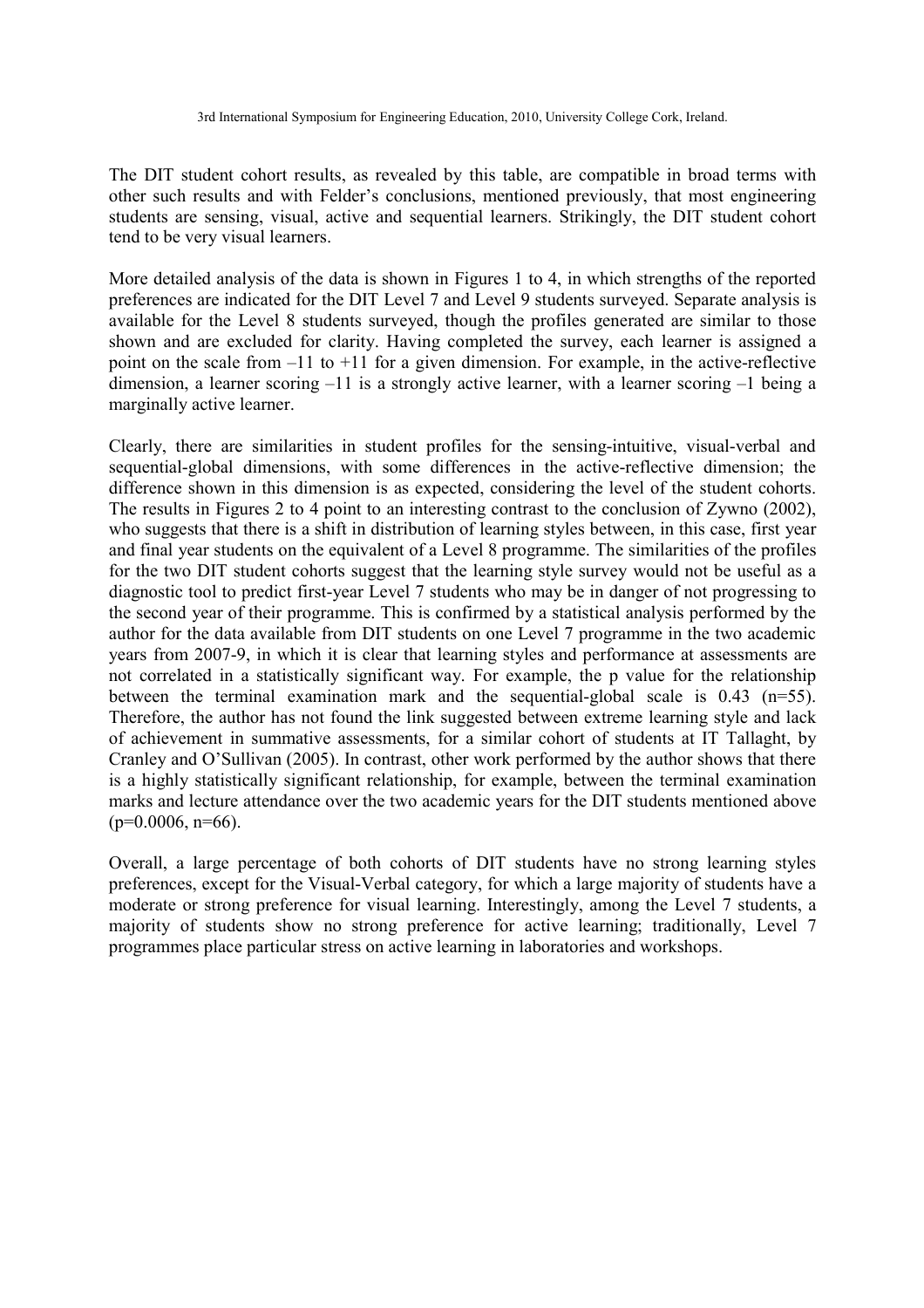The DIT student cohort results, as revealed by this table, are compatible in broad terms with other such results and with Felder's conclusions, mentioned previously, that most engineering students are sensing, visual, active and sequential learners. Strikingly, the DIT student cohort tend to be very visual learners.

More detailed analysis of the data is shown in Figures 1 to 4, in which strengths of the reported preferences are indicated for the DIT Level 7 and Level 9 students surveyed. Separate analysis is available for the Level 8 students surveyed, though the profiles generated are similar to those shown and are excluded for clarity. Having completed the survey, each learner is assigned a point on the scale from –11 to +11 for a given dimension. For example, in the active-reflective dimension, a learner scoring –11 is a strongly active learner, with a learner scoring –1 being a marginally active learner.

Clearly, there are similarities in student profiles for the sensing-intuitive, visual-verbal and sequential-global dimensions, with some differences in the active-reflective dimension; the difference shown in this dimension is as expected, considering the level of the student cohorts. The results in Figures 2 to 4 point to an interesting contrast to the conclusion of Zywno (2002), who suggests that there is a shift in distribution of learning styles between, in this case, first year and final year students on the equivalent of a Level 8 programme. The similarities of the profiles for the two DIT student cohorts suggest that the learning style survey would not be useful as a diagnostic tool to predict first-year Level 7 students who may be in danger of not progressing to the second year of their programme. This is confirmed by a statistical analysis performed by the author for the data available from DIT students on one Level 7 programme in the two academic years from 2007-9, in which it is clear that learning styles and performance at assessments are not correlated in a statistically significant way. For example, the p value for the relationship between the terminal examination mark and the sequential-global scale is 0.43 (n=55). Therefore, the author has not found the link suggested between extreme learning style and lack of achievement in summative assessments, for a similar cohort of students at IT Tallaght, by Cranley and O'Sullivan (2005). In contrast, other work performed by the author shows that there is a highly statistically significant relationship, for example, between the terminal examination marks and lecture attendance over the two academic years for the DIT students mentioned above  $(p=0.0006, n=66)$ .

Overall, a large percentage of both cohorts of DIT students have no strong learning styles preferences, except for the Visual-Verbal category, for which a large majority of students have a moderate or strong preference for visual learning. Interestingly, among the Level 7 students, a majority of students show no strong preference for active learning; traditionally, Level 7 programmes place particular stress on active learning in laboratories and workshops.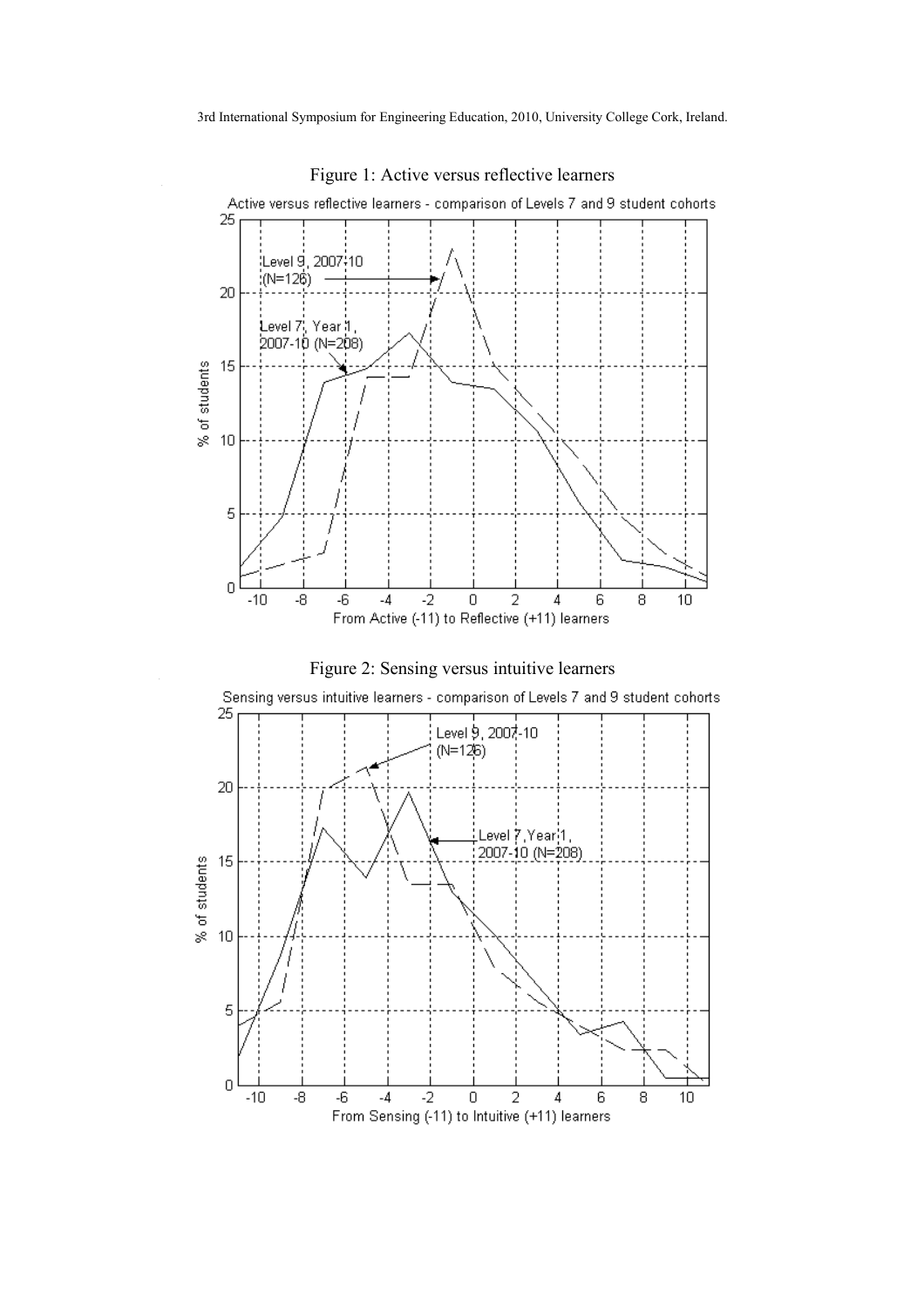

Figure 1: Active versus reflective learners



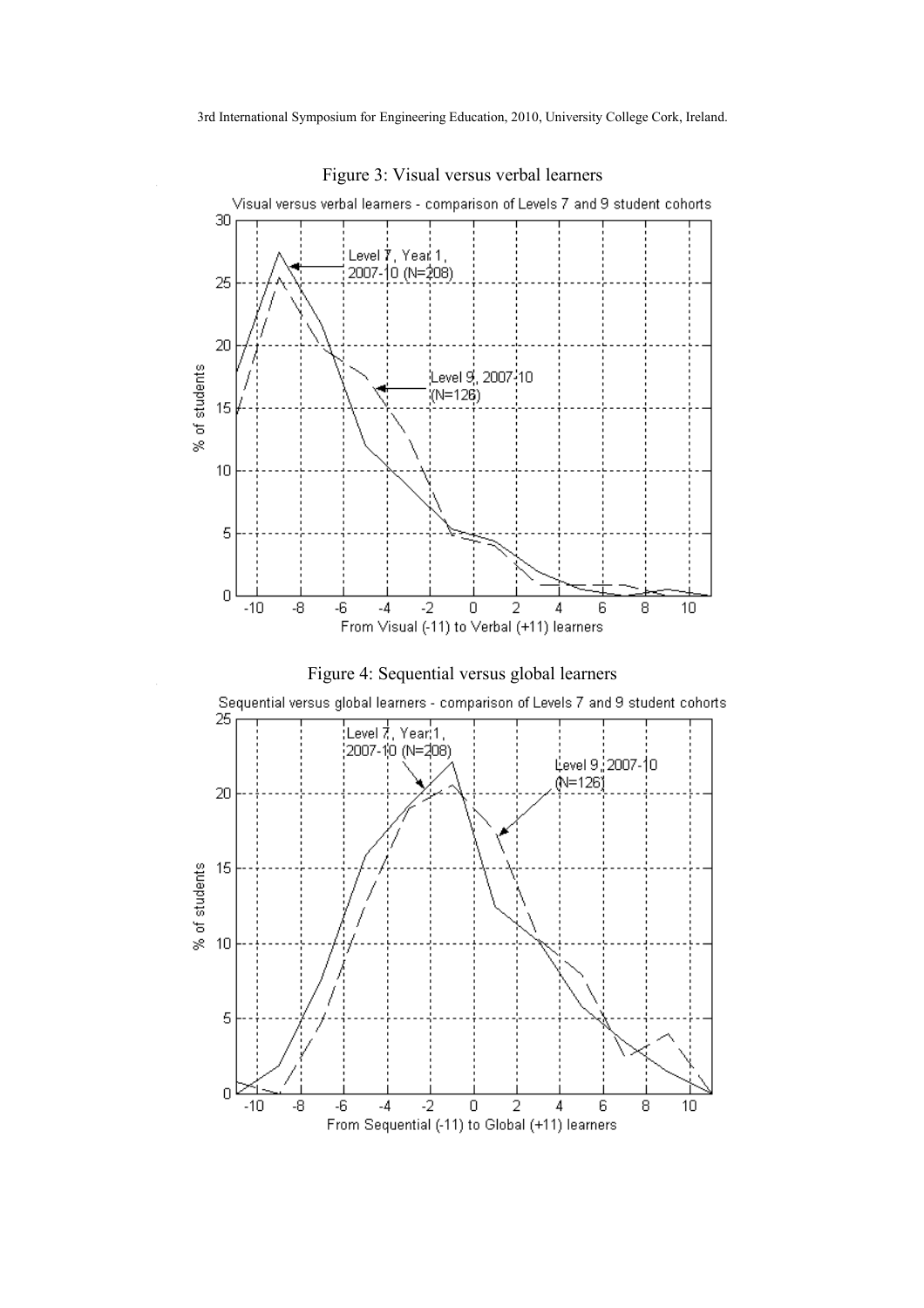

Figure 3: Visual versus verbal learners



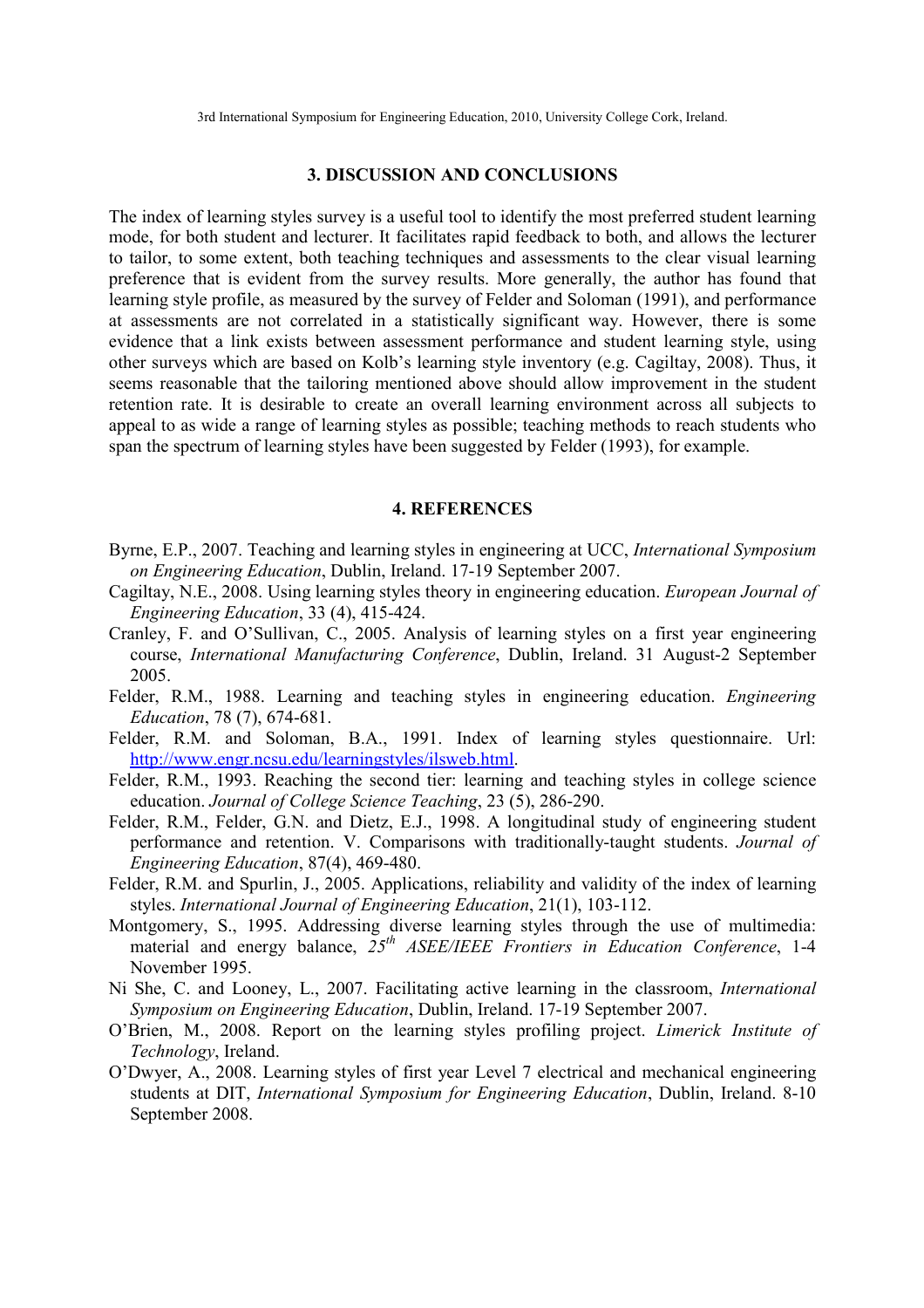#### **3. DISCUSSION AND CONCLUSIONS**

The index of learning styles survey is a useful tool to identify the most preferred student learning mode, for both student and lecturer. It facilitates rapid feedback to both, and allows the lecturer to tailor, to some extent, both teaching techniques and assessments to the clear visual learning preference that is evident from the survey results. More generally, the author has found that learning style profile, as measured by the survey of Felder and Soloman (1991), and performance at assessments are not correlated in a statistically significant way. However, there is some evidence that a link exists between assessment performance and student learning style, using other surveys which are based on Kolb's learning style inventory (e.g. Cagiltay, 2008). Thus, it seems reasonable that the tailoring mentioned above should allow improvement in the student retention rate. It is desirable to create an overall learning environment across all subjects to appeal to as wide a range of learning styles as possible; teaching methods to reach students who span the spectrum of learning styles have been suggested by Felder (1993), for example.

#### **4. REFERENCES**

- Byrne, E.P., 2007. Teaching and learning styles in engineering at UCC, *International Symposium on Engineering Education*, Dublin, Ireland. 17-19 September 2007.
- Cagiltay, N.E., 2008. Using learning styles theory in engineering education. *European Journal of Engineering Education*, 33 (4), 415-424.
- Cranley, F. and O'Sullivan, C., 2005. Analysis of learning styles on a first year engineering course, *International Manufacturing Conference*, Dublin, Ireland. 31 August-2 September 2005.
- Felder, R.M., 1988. Learning and teaching styles in engineering education. *Engineering Education*, 78 (7), 674-681.
- Felder, R.M. and Soloman, B.A., 1991. Index of learning styles questionnaire. Url: http://www.engr.ncsu.edu/learningstyles/ilsweb.html.
- Felder, R.M., 1993. Reaching the second tier: learning and teaching styles in college science education. *Journal of College Science Teaching*, 23 (5), 286-290.
- Felder, R.M., Felder, G.N. and Dietz, E.J., 1998. A longitudinal study of engineering student performance and retention. V. Comparisons with traditionally-taught students. *Journal of Engineering Education*, 87(4), 469-480.
- Felder, R.M. and Spurlin, J., 2005. Applications, reliability and validity of the index of learning styles. *International Journal of Engineering Education*, 21(1), 103-112.
- Montgomery, S., 1995. Addressing diverse learning styles through the use of multimedia: material and energy balance, *25th ASEE/IEEE Frontiers in Education Conference*, 1-4 November 1995.
- Ni She, C. and Looney, L., 2007. Facilitating active learning in the classroom, *International Symposium on Engineering Education*, Dublin, Ireland. 17-19 September 2007.
- O'Brien, M., 2008. Report on the learning styles profiling project. *Limerick Institute of Technology*, Ireland.
- O'Dwyer, A., 2008. Learning styles of first year Level 7 electrical and mechanical engineering students at DIT, *International Symposium for Engineering Education*, Dublin, Ireland. 8-10 September 2008.